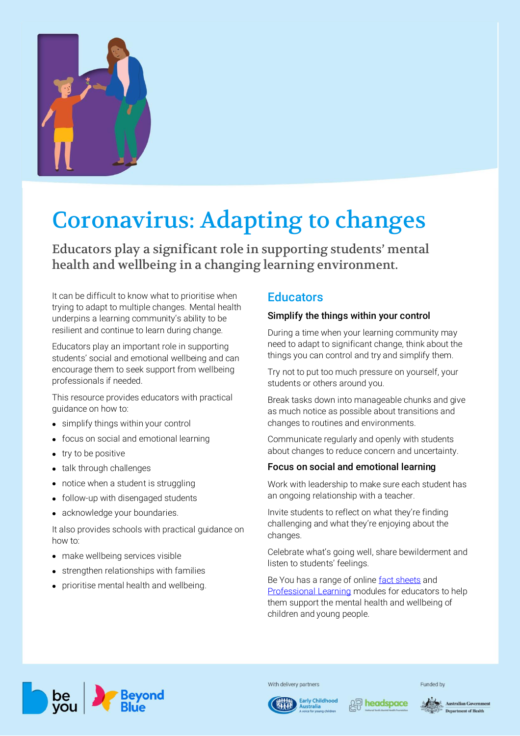

# Coronavirus: Adapting to changes

Educators play a significant role in supporting students' mental health and wellbeing in a changing learning environment.

It can be difficult to know what to prioritise when trying to adapt to multiple changes. Mental health underpins a learning community's ability to be resilient and continue to learn during change.

Educators play an important role in supporting students' social and emotional wellbeing and can encourage them to seek support from wellbeing professionals if needed.

This resource provides educators with practical guidance on how to:

- simplify things within your control
- focus on social and emotional learning
- try to be positive
- talk through challenges
- notice when a student is struggling
- follow-up with disengaged students
- acknowledge your boundaries.

It also provides schools with practical guidance on how to:

- make wellbeing services visible
- strengthen relationships with families
- prioritise mental health and wellbeing.

# **Educators**

#### Simplify the things within your control

During a time when your learning community may need to adapt to significant change, think about the things you can control and try and simplify them.

Try not to put too much pressure on yourself, your students or others around you.

Break tasks down into manageable chunks and give as much notice as possible about transitions and changes to routines and environments.

Communicate regularly and openly with students about changes to reduce concern and uncertainty.

#### Focus on social and emotional learning

Work with leadership to make sure each student has an ongoing relationship with a teacher.

Invite students to reflect on what they're finding challenging and what they're enjoying about the changes.

Celebrate what's going well, share bewilderment and listen to students' feelings.

Be You has a range of onlin[e fact sheets](https://beyou.edu.au/fact-sheets) and [Professional Learning](https://beyou.edu.au/learn) modules for educators to help them support the mental health and wellbeing of children and young people.



With delivery partners





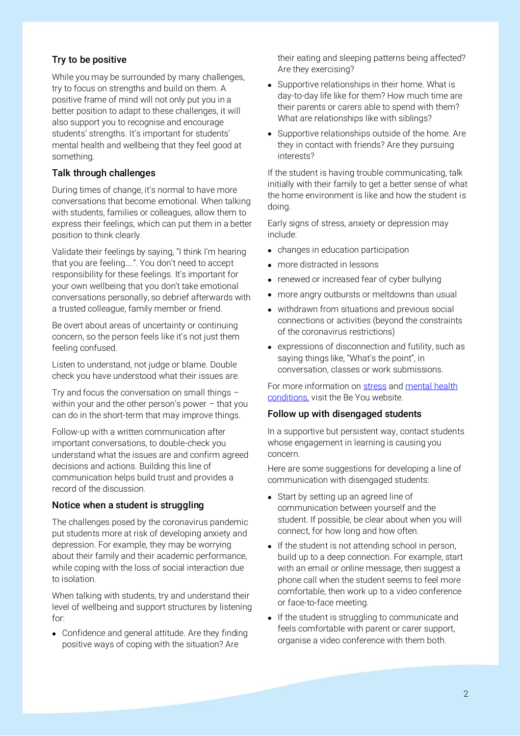## Try to be positive

While you may be surrounded by many challenges, try to focus on strengths and build on them. A positive frame of mind will not only put you in a better position to adapt to these challenges, it will also support you to recognise and encourage students' strengths. It's important for students' mental health and wellbeing that they feel good at something.

## Talk through challenges

During times of change, it's normal to have more conversations that become emotional. When talking with students, families or colleagues, allow them to express their feelings, which can put them in a better position to think clearly.

Validate their feelings by saying, "I think I'm hearing that you are feeling….". You don't need to accept responsibility for these feelings. It's important for your own wellbeing that you don't take emotional conversations personally, so debrief afterwards with a trusted colleague, family member or friend.

Be overt about areas of uncertainty or continuing concern, so the person feels like it's not just them feeling confused.

Listen to understand, not judge or blame. Double check you have understood what their issues are.

Try and focus the conversation on small things – within your and the other person's power – that you can do in the short-term that may improve things.

Follow-up with a written communication after important conversations, to double-check you understand what the issues are and confirm agreed decisions and actions. Building this line of communication helps build trust and provides a record of the discussion.

# Notice when a student is struggling

The challenges posed by the coronavirus pandemic put students more at risk of developing anxiety and depression. For example, they may be worrying about their family and their academic performance, while coping with the loss of social interaction due to isolation.

When talking with students, try and understand their level of wellbeing and support structures by listening for:

• Confidence and general attitude. Are they finding positive ways of coping with the situation? Are

their eating and sleeping patterns being affected? Are they exercising?

- Supportive relationships in their home. What is day-to-day life like for them? How much time are their parents or carers able to spend with them? What are relationships like with siblings?
- Supportive relationships outside of the home. Are they in contact with friends? Are they pursuing interests?

If the student is having trouble communicating, talk initially with their family to get a better sense of what the home environment is like and how the student is doing.

Early signs of stress, anxiety or depression may include:

- changes in education participation
- more distracted in lessons
- renewed or increased fear of cyber bullying
- more angry outbursts or meltdowns than usual
- withdrawn from situations and previous social connections or activities (beyond the constraints of the coronavirus restrictions)
- expressions of disconnection and futility, such as saying things like, "What's the point", in conversation, classes or work submissions.

For more information on [stress](https://beyou.edu.au/fact-sheets/wellbeing/stress-management) and mental health [conditions,](https://beyou.edu.au/fact-sheets/mental-health-issues-and-conditions) visit the Be You website.

#### Follow up with disengaged students

In a supportive but persistent way, contact students whose engagement in learning is causing you concern.

Here are some suggestions for developing a line of communication with disengaged students:

- Start by setting up an agreed line of communication between yourself and the student. If possible, be clear about when you will connect, for how long and how often.
- If the student is not attending school in person, build up to a deep connection. For example, start with an email or online message, then suggest a phone call when the student seems to feel more comfortable, then work up to a video conference or face-to-face meeting.
- If the student is struggling to communicate and feels comfortable with parent or carer support, organise a video conference with them both.